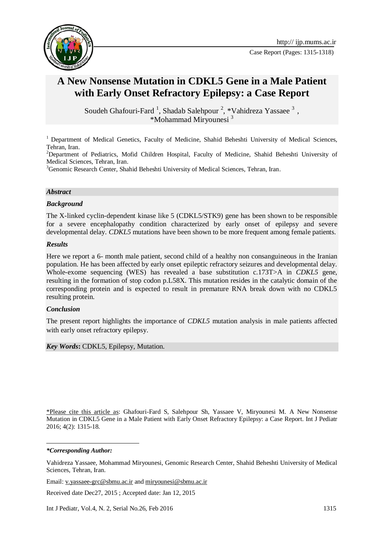



# **A New Nonsense Mutation in CDKL5 Gene in a Male Patient with Early Onset Refractory Epilepsy: a Case Report**

Soudeh Ghafouri-Fard<sup>1</sup>, Shadab Salehpour<sup>2</sup>, \*Vahidreza Yassaee<sup>3</sup>, \*Mohammad Miryounesi <sup>3</sup>

<sup>1</sup> Department of Medical Genetics, Faculty of Medicine, Shahid Beheshti University of Medical Sciences, Tehran, Iran.

<sup>2</sup>Department of Pediatrics, Mofid Children Hospital, Faculty of Medicine, Shahid Beheshti University of Medical Sciences, Tehran, Iran.

<sup>3</sup>Genomic Research Center, Shahid Beheshti University of Medical Sciences, Tehran, Iran.

#### *Abstract*

#### *Background*

The X-linked cyclin-dependent kinase like 5 (CDKL5/STK9) gene has been shown to be responsible for a severe encephalopathy condition characterized by early onset of epilepsy and severe developmental delay. *CDKL5* mutations have been shown to be more frequent among female patients.

#### *Results*

Here we report a 6- month male patient, second child of a healthy non consanguineous in the Iranian population. He has been affected by early onset epileptic refractory seizures and developmental delay. Whole-exome sequencing (WES) has revealed a base substitution c.173T>A in *CDKL5* gene, resulting in the formation of stop codon p.L58X. This mutation resides in the catalytic domain of the corresponding protein and is expected to result in premature RNA break down with no CDKL5 resulting protein.

### *Conclusion*

The present report highlights the importance of *CDKL5* mutation analysis in male patients affected with early onset refractory epilepsy.

*Key Words***:** CDKL5, Epilepsy, Mutation.

\*Please cite this article as: Ghafouri-Fard S, Salehpour Sh, Yassaee V, Miryounesi M. A New Nonsense Mutation in CDKL5 Gene in a Male Patient with Early Onset Refractory Epilepsy: a Case Report. Int J Pediatr 2016; 4(2): 1315-18.

#### *\*Corresponding Author:*

-

Vahidreza Yassaee, Mohammad Miryounesi, Genomic Research Center, Shahid Beheshti University of Medical Sciences, Tehran, Iran.

Email: v.yassaee-grc@sbmu.ac.ir an[d miryounesi@sbmu.ac.ir](mailto:miryounesi@sbmu.ac.ir)

Received date Dec27, 2015 ; Accepted date: Jan 12, 2015

Int J Pediatr, Vol.4, N. 2, Serial No.26, Feb 2016 1315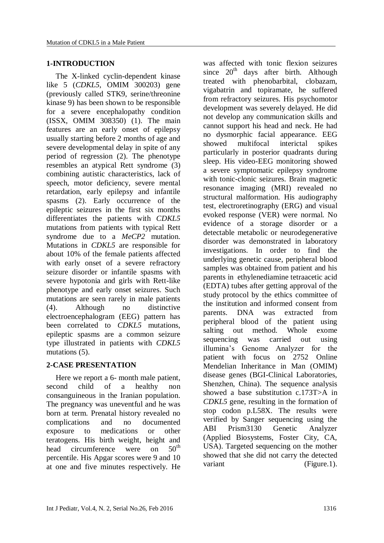### **1-INTRODUCTION**

The X-linked cyclin-dependent kinase like 5 (*CDKL5*, OMIM 300203) gene (previously called STK9, serine/threonine kinase 9) has been shown to be responsible for a severe encephalopathy condition (ISSX, OMIM 308350) [\(1\)](#page-3-0). The main features are an early onset of epilepsy usually starting before 2 months of age and severe developmental delay in spite of any period of regression [\(2\)](#page-3-1). The phenotype resembles an atypical Rett syndrome [\(3\)](#page-3-2) combining autistic characteristics, lack of speech, motor deficiency, severe mental retardation, early epilepsy and infantile spasms [\(2\)](#page-3-1). Early occurrence of the epileptic seizures in the first six months differentiates the patients with *CDKL5* mutations from patients with typical Rett syndrome due to a *MeCP2* mutation. Mutations in *CDKL5* are responsible for about 10% of the female patients affected with early onset of a severe refractory seizure disorder or infantile spasms with severe hypotonia and girls with Rett-like phenotype and early onset seizures. Such mutations are seen rarely in male patients [\(4\)](#page-3-3). Although no distinctive electroencephalogram (EEG) pattern has been correlated to *CDKL5* mutations, epileptic spasms are a common seizure type illustrated in patients with *CDKL5* mutations  $(5)$ .

# **2-CASE PRESENTATION**

Here we report a 6- month male patient, second child of a healthy non consanguineous in the Iranian population. The pregnancy was uneventful and he was born at term. Prenatal history revealed no complications and no documented exposure to medications or other teratogens. His birth weight, height and<br>head circumference were on 50<sup>th</sup> head circumference were on percentile. His Apgar scores were 9 and 10 at one and five minutes respectively. He

was affected with tonic flexion seizures since  $20<sup>th</sup>$  days after birth. Although treated with phenobarbital, clobazam, vigabatrin and topiramate, he suffered from refractory seizures. His psychomotor development was severely delayed. He did not develop any communication skills and cannot support his head and neck. He had no dysmorphic facial appearance. EEG showed multifocal interictal spikes particularly in posterior quadrants during sleep. His video-EEG monitoring showed a severe symptomatic epilepsy syndrome with tonic-clonic seizures. Brain magnetic resonance imaging (MRI) revealed no structural malformation. His audiography test, electroretinography (ERG) and visual evoked response (VER) were normal. No evidence of a storage disorder or a detectable metabolic or neurodegenerative disorder was demonstrated in laboratory investigations. In order to find the underlying genetic cause, peripheral blood samples was obtained from patient and his parents in [ethylenediamine tetraacetic acid](http://www.google.com/url?sa=t&rct=j&q=&esrc=s&source=web&cd=13&cad=rja&uact=8&ved=0ahUKEwjK7M-ywcfKAhWDwxQKHd7OBTAQFghcMAw&url=http%3A%2F%2Fwww.ncbi.nlm.nih.gov%2Fpubmed%2F17484616&usg=AFQjCNHjefctnIBad2EY2Mf9YUoz8WTkrA&bvm=bv.112454388,d.d24)  [\(EDTA\)](http://www.google.com/url?sa=t&rct=j&q=&esrc=s&source=web&cd=13&cad=rja&uact=8&ved=0ahUKEwjK7M-ywcfKAhWDwxQKHd7OBTAQFghcMAw&url=http%3A%2F%2Fwww.ncbi.nlm.nih.gov%2Fpubmed%2F17484616&usg=AFQjCNHjefctnIBad2EY2Mf9YUoz8WTkrA&bvm=bv.112454388,d.d24) tubes after getting approval of the study protocol by the ethics committee of the institution and informed consent from parents. DNA was extracted from peripheral blood of the patient using salting out method. Whole exome sequencing was carried out using illumina's Genome Analyzer for the patient with focus on 2752 Online Mendelian Inheritance in Man (OMIM) disease genes (BGI-Clinical Laboratories, Shenzhen, China). The sequence analysis showed a base substitution c.173T>A in *CDKL5* gene, resulting in the formation of stop codon p.L58X. The results were verified by Sanger sequencing using the ABI Prism3130 Genetic Analyzer (Applied Biosystems, Foster City, CA, USA). Targeted sequencing on the mother showed that she did not carry the detected variant (Figure.1).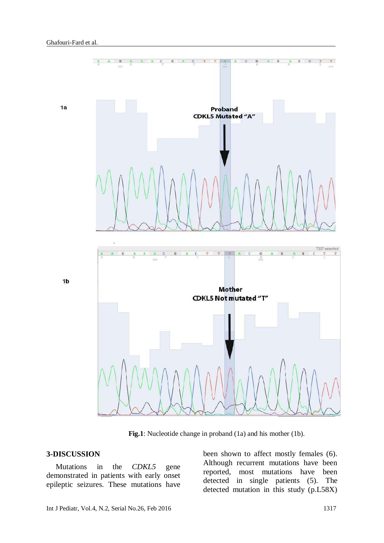

 **Fig.1**: Nucleotide change in proband (1a) and his mother (1b).

### **3-DISCUSSION**

Mutations in the *CDKL5* gene demonstrated in patients with early onset epileptic seizures. These mutations have been shown to affect mostly females [\(6\)](#page-3-5). Although recurrent mutations have been reported, most mutations have been detected in single patients [\(5\)](#page-3-4). The detected mutation in this study (p.L58X)